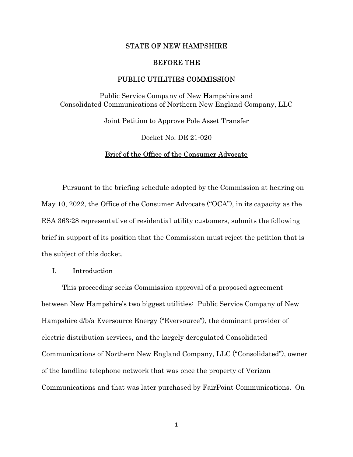### STATE OF NEW HAMPSHIRE

### BEFORE THE

# PUBLIC UTILITIES COMMISSION

Public Service Company of New Hampshire and Consolidated Communications of Northern New England Company, LLC

Joint Petition to Approve Pole Asset Transfer

Docket No. DE 21-020

## Brief of the Office of the Consumer Advocate

 Pursuant to the briefing schedule adopted by the Commission at hearing on May 10, 2022, the Office of the Consumer Advocate ("OCA"), in its capacity as the RSA 363:28 representative of residential utility customers, submits the following brief in support of its position that the Commission must reject the petition that is the subject of this docket.

# I. Introduction

This proceeding seeks Commission approval of a proposed agreement between New Hampshire's two biggest utilities: Public Service Company of New Hampshire d/b/a Eversource Energy ("Eversource"), the dominant provider of electric distribution services, and the largely deregulated Consolidated Communications of Northern New England Company, LLC ("Consolidated"), owner of the landline telephone network that was once the property of Verizon Communications and that was later purchased by FairPoint Communications. On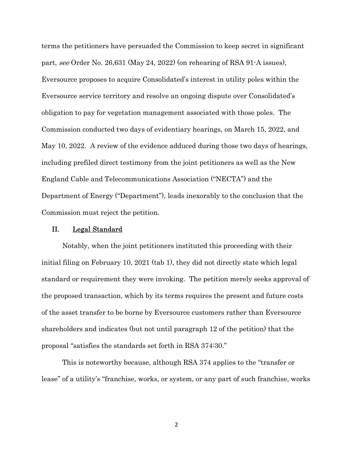terms the petitioners have persuaded the Commission to keep secret in significant part, see Order No. 26,631 (May 24, 2022) (on rehearing of RSA 91-A issues), Eversource proposes to acquire Consolidated's interest in utility poles within the Eversource service territory and resolve an ongoing dispute over Consolidated's obligation to pay for vegetation management associated with those poles. The Commission conducted two days of evidentiary hearings, on March 15, 2022, and May 10, 2022. A review of the evidence adduced during those two days of hearings, including prefiled direct testimony from the joint petitioners as well as the New England Cable and Telecommunications Association ("NECTA") and the Department of Energy ("Department"), leads inexorably to the conclusion that the Commission must reject the petition.

# II. Legal Standard

Notably, when the joint petitioners instituted this proceeding with their initial filing on February 10, 2021 (tab 1), they did not directly state which legal standard or requirement they were invoking. The petition merely seeks approval of the proposed transaction, which by its terms requires the present and future costs of the asset transfer to be borne by Eversource customers rather than Eversource shareholders and indicates (but not until paragraph 12 of the petition) that the proposal "satisfies the standards set forth in RSA 374:30."

This is noteworthy because, although RSA 374 applies to the "transfer or lease" of a utility's "franchise, works, or system, or any part of such franchise, works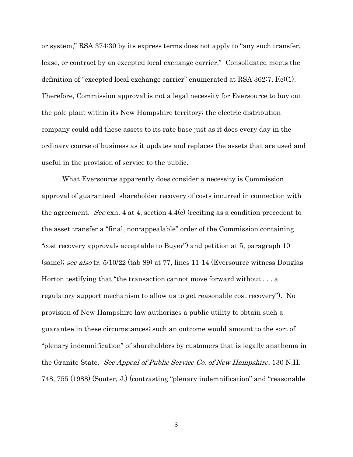or system," RSA 374:30 by its express terms does not apply to "any such transfer, lease, or contract by an excepted local exchange carrier." Consolidated meets the definition of "excepted local exchange carrier" enumerated at RSA 362:7,  $I(c)(1)$ . Therefore, Commission approval is not a legal necessity for Eversource to buy out the pole plant within its New Hampshire territory; the electric distribution company could add these assets to its rate base just as it does every day in the ordinary course of business as it updates and replaces the assets that are used and useful in the provision of service to the public.

What Eversource apparently does consider a necessity is Commission approval of guaranteed shareholder recovery of costs incurred in connection with the agreement. See exh. 4 at 4, section 4.4(c) (reciting as a condition precedent to the asset transfer a "final, non-appealable" order of the Commission containing "cost recovery approvals acceptable to Buyer") and petition at 5, paragraph 10 (same); see also tr. 5/10/22 (tab 89) at 77, lines 11-14 (Eversource witness Douglas Horton testifying that "the transaction cannot move forward without . . . a regulatory support mechanism to allow us to get reasonable cost recovery"). No provision of New Hampshire law authorizes a public utility to obtain such a guarantee in these circumstances; such an outcome would amount to the sort of "plenary indemnification" of shareholders by customers that is legally anathema in the Granite State. *See Appeal of Public Service Co. of New Hampshire*, 130 N.H. 748, 755 (1988) (Souter, J.) (contrasting "plenary indemnification" and "reasonable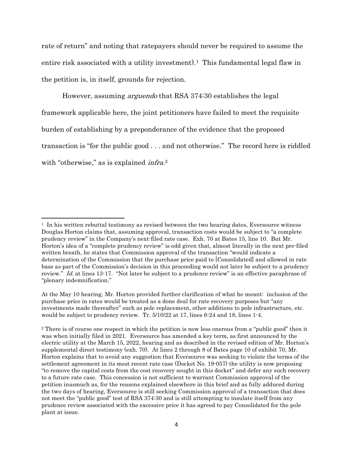rate of return" and noting that ratepayers should never be required to assume the entire risk associated with a utility investment).<sup>1</sup> This fundamental legal flaw in the petition is, in itself, grounds for rejection.

However, assuming arguendo that RSA 374:30 establishes the legal framework applicable here, the joint petitioners have failed to meet the requisite burden of establishing by a preponderance of the evidence that the proposed transaction is "for the public good . . . and not otherwise." The record here is riddled with "otherwise," as is explained *infra*.<sup>2</sup>

 $<sup>1</sup>$  In his written rebuttal testimony as revised between the two hearing dates, Eversource witness</sup> Douglas Horton claims that, assuming approval, transaction costs would be subject to "a complete prudency review" in the Company's next-filed rate case. Exh. 70 at Bates 15, line 10. But Mr. Horton's idea of a "complete prudency review" is odd given that, almost literally in the next pre-filed written breath, he states that Commission approval of the transaction "would indicate a determination of the Commission that the purchase price paid to [Consolidated] and allowed in rate base as part of the Commission's decision in this proceeding would not later be subject to a prudency review." Id. at lines 13-17. "Not later be subject to a prudence review" is an effective paraphrase of "plenary indemnification."

At the May 10 hearing, Mr. Horton provided further clarification of what he meant: inclusion of the purchase price in rates would be treated as a done deal for rate recovery purposes but "any investments made thereafter" such as pole replacement, other additions to pole infrastructure, etc. would be subject to prudency review. Tr. 5/10/22 at 17, lines 6-24 and 18, lines 1-4.

<sup>2</sup> There is of course one respect in which the petition is now less onerous from a "public good" then it was when initially filed in 2021. Eversource has amended a key term, as first announced by the electric utility at the March 15, 2022, hearing and as described in the revised edition of Mr. Horton's supplemental direct testimony (exh. 70). At lines 2 through 8 of Bates page 10 of exhibit 70, Mr. Horton explains that to avoid any suggestion that Eversource was seeking to violate the terms of the settlement agreement in its most recent rate case (Docket No. 19-057) the utility is now proposing "to remove the capital costs from the cost recovery sought in this docket" and defer any such recovery to a future rate case. This concession is not sufficient to warrant Commission approval of the petition inasmuch as, for the reasons explained elsewhere in this brief and as fully adduced during the two days of hearing, Eversource is still seeking Commission approval of a transaction that does not meet the "public good" test of RSA 374:30 and is still attempting to insulate itself from any prudence review associated with the excessive price it has agreed to pay Consolidated for the pole plant at issue.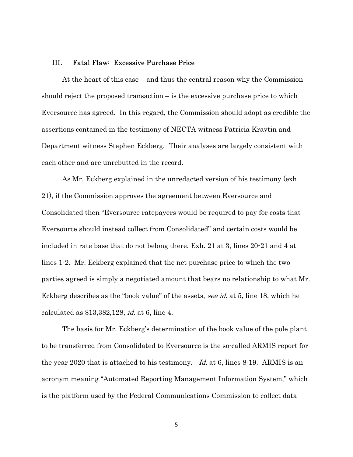# III. Fatal Flaw: Excessive Purchase Price

At the heart of this case – and thus the central reason why the Commission should reject the proposed transaction  $-\overline{\ }$  is the excessive purchase price to which Eversource has agreed. In this regard, the Commission should adopt as credible the assertions contained in the testimony of NECTA witness Patricia Kravtin and Department witness Stephen Eckberg. Their analyses are largely consistent with each other and are unrebutted in the record.

As Mr. Eckberg explained in the unredacted version of his testimony (exh. 21), if the Commission approves the agreement between Eversource and Consolidated then "Eversource ratepayers would be required to pay for costs that Eversource should instead collect from Consolidated" and certain costs would be included in rate base that do not belong there. Exh. 21 at 3, lines 20-21 and 4 at lines 1-2. Mr. Eckberg explained that the net purchase price to which the two parties agreed is simply a negotiated amount that bears no relationship to what Mr. Eckberg describes as the "book value" of the assets, see id. at 5, line 18, which he calculated as \$13,382,128, id. at 6, line 4.

The basis for Mr. Eckberg's determination of the book value of the pole plant to be transferred from Consolidated to Eversource is the so-called ARMIS report for the year 2020 that is attached to his testimony. Id. at 6, lines 8-19. ARMIS is an acronym meaning "Automated Reporting Management Information System," which is the platform used by the Federal Communications Commission to collect data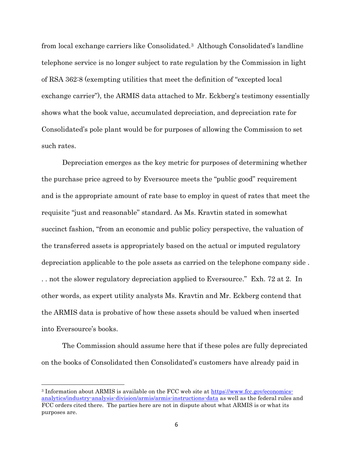from local exchange carriers like Consolidated.3 Although Consolidated's landline telephone service is no longer subject to rate regulation by the Commission in light of RSA 362:8 (exempting utilities that meet the definition of "excepted local exchange carrier"), the ARMIS data attached to Mr. Eckberg's testimony essentially shows what the book value, accumulated depreciation, and depreciation rate for Consolidated's pole plant would be for purposes of allowing the Commission to set such rates.

Depreciation emerges as the key metric for purposes of determining whether the purchase price agreed to by Eversource meets the "public good" requirement and is the appropriate amount of rate base to employ in quest of rates that meet the requisite "just and reasonable" standard. As Ms. Kravtin stated in somewhat succinct fashion, "from an economic and public policy perspective, the valuation of the transferred assets is appropriately based on the actual or imputed regulatory depreciation applicable to the pole assets as carried on the telephone company side . . . not the slower regulatory depreciation applied to Eversource." Exh. 72 at 2. In other words, as expert utility analysts Ms. Kravtin and Mr. Eckberg contend that the ARMIS data is probative of how these assets should be valued when inserted into Eversource's books.

The Commission should assume here that if these poles are fully depreciated on the books of Consolidated then Consolidated's customers have already paid in

<sup>3</sup> Information about ARMIS is available on the FCC web site at https://www.fcc.gov/economicsanalytics/industry-analysis-division/armis/armis-instructions-data as well as the federal rules and FCC orders cited there. The parties here are not in dispute about what ARMIS is or what its purposes are.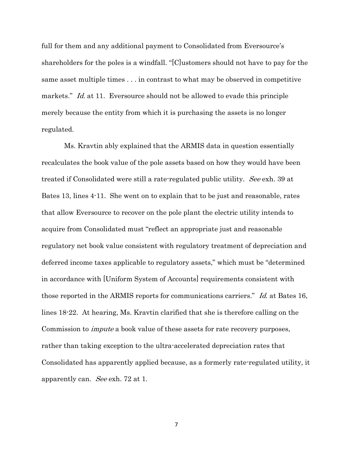full for them and any additional payment to Consolidated from Eversource's shareholders for the poles is a windfall. "[C]ustomers should not have to pay for the same asset multiple times . . . in contrast to what may be observed in competitive markets." Id. at 11. Eversource should not be allowed to evade this principle merely because the entity from which it is purchasing the assets is no longer regulated.

 Ms. Kravtin ably explained that the ARMIS data in question essentially recalculates the book value of the pole assets based on how they would have been treated if Consolidated were still a rate-regulated public utility. See exh. 39 at Bates 13, lines 4-11. She went on to explain that to be just and reasonable, rates that allow Eversource to recover on the pole plant the electric utility intends to acquire from Consolidated must "reflect an appropriate just and reasonable regulatory net book value consistent with regulatory treatment of depreciation and deferred income taxes applicable to regulatory assets," which must be "determined in accordance with [Uniform System of Accounts] requirements consistent with those reported in the ARMIS reports for communications carriers." Id. at Bates 16, lines 18-22. At hearing, Ms. Kravtin clarified that she is therefore calling on the Commission to impute a book value of these assets for rate recovery purposes, rather than taking exception to the ultra-accelerated depreciation rates that Consolidated has apparently applied because, as a formerly rate-regulated utility, it apparently can. See exh. 72 at 1.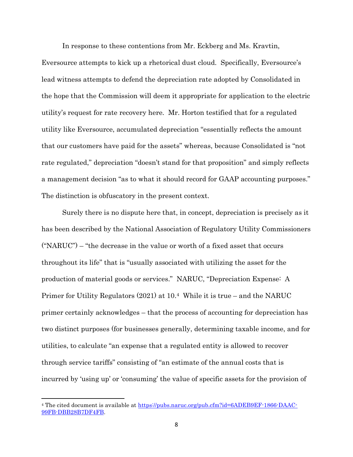In response to these contentions from Mr. Eckberg and Ms. Kravtin,

Eversource attempts to kick up a rhetorical dust cloud. Specifically, Eversource's lead witness attempts to defend the depreciation rate adopted by Consolidated in the hope that the Commission will deem it appropriate for application to the electric utility's request for rate recovery here. Mr. Horton testified that for a regulated utility like Eversource, accumulated depreciation "essentially reflects the amount that our customers have paid for the assets" whereas, because Consolidated is "not rate regulated," depreciation "doesn't stand for that proposition" and simply reflects a management decision "as to what it should record for GAAP accounting purposes." The distinction is obfuscatory in the present context.

Surely there is no dispute here that, in concept, depreciation is precisely as it has been described by the National Association of Regulatory Utility Commissioners ("NARUC") – "the decrease in the value or worth of a fixed asset that occurs throughout its life" that is "usually associated with utilizing the asset for the production of material goods or services." NARUC, "Depreciation Expense: A Primer for Utility Regulators (2021) at 10.4 While it is true – and the NARUC primer certainly acknowledges – that the process of accounting for depreciation has two distinct purposes (for businesses generally, determining taxable income, and for utilities, to calculate "an expense that a regulated entity is allowed to recover through service tariffs" consisting of "an estimate of the annual costs that is incurred by 'using up' or 'consuming' the value of specific assets for the provision of

<sup>&</sup>lt;sup>4</sup> The cited document is available at https://pubs.naruc.org/pub.cfm?id=6ADEB9EF-1866-DAAC-99FB-DBB28B7DF4FB.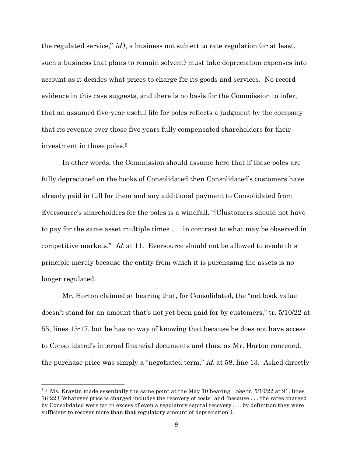the regulated service," id.), a business not subject to rate regulation (or at least, such a business that plans to remain solvent) must take depreciation expenses into account as it decides what prices to charge for its goods and services. No record evidence in this case suggests, and there is no basis for the Commission to infer, that an assumed five-year useful life for poles reflects a judgment by the company that its revenue over those five years fully compensated shareholders for their investment in those poles.<sup>5</sup>

In other words, the Commission should assume here that if these poles are fully depreciated on the books of Consolidated then Consolidated's customers have already paid in full for them and any additional payment to Consolidated from Eversource's shareholders for the poles is a windfall. "[C]ustomers should not have to pay for the same asset multiple times . . . in contrast to what may be observed in competitive markets." Id. at 11. Eversource should not be allowed to evade this principle merely because the entity from which it is purchasing the assets is no longer regulated.

Mr. Horton claimed at hearing that, for Consolidated, the "net book value doesn't stand for an amount that's not yet been paid for by customers," tr. 5/10/22 at 55, lines 15-17, but he has no way of knowing that because he does not have access to Consolidated's internal financial documents and thus, as Mr. Horton conceded, the purchase price was simply a "negotiated term," *id.* at 58, line 13. Asked directly

<sup>&</sup>lt;sup>55</sup> Ms. Kravtin made essentially the same point at the May 10 hearing. *See* tr.  $5/10/22$  at 91, lines 16-22 ("Whatever price is charged includes the recovery of costs" and "because . . . the rates charged by Consolidated were far in excess of even a regulatory capital recovery . . . by definition they were sufficient to recover more than that regulatory amount of depreciation").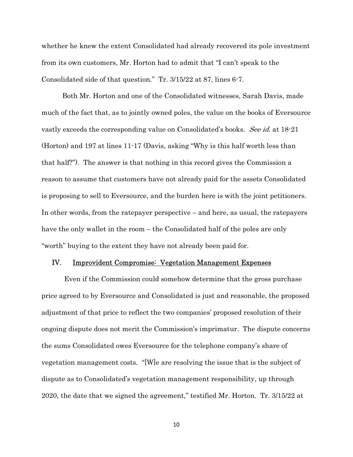whether he knew the extent Consolidated had already recovered its pole investment from its own customers, Mr. Horton had to admit that "I can't speak to the Consolidated side of that question." Tr. 3/15/22 at 87, lines 6-7.

Both Mr. Horton and one of the Consolidated witnesses, Sarah Davis, made much of the fact that, as to jointly owned poles, the value on the books of Eversource vastly exceeds the corresponding value on Consolidated's books. See id. at 18-21 (Horton) and 197 at lines 11-17 (Davis, asking "Why is this half worth less than that half?"). The answer is that nothing in this record gives the Commission a reason to assume that customers have not already paid for the assets Consolidated is proposing to sell to Eversource, and the burden here is with the joint petitioners. In other words, from the ratepayer perspective – and here, as usual, the ratepayers have the only wallet in the room – the Consolidated half of the poles are only "worth" buying to the extent they have not already been paid for.

#### IV. Improvident Compromise: Vegetation Management Expenses

 Even if the Commission could somehow determine that the gross purchase price agreed to by Eversource and Consolidated is just and reasonable, the proposed adjustment of that price to reflect the two companies' proposed resolution of their ongoing dispute does not merit the Commission's imprimatur. The dispute concerns the sums Consolidated owes Eversource for the telephone company's share of vegetation management costs. "[W]e are resolving the issue that is the subject of dispute as to Consolidated's vegetation management responsibility, up through 2020, the date that we signed the agreement," testified Mr. Horton. Tr. 3/15/22 at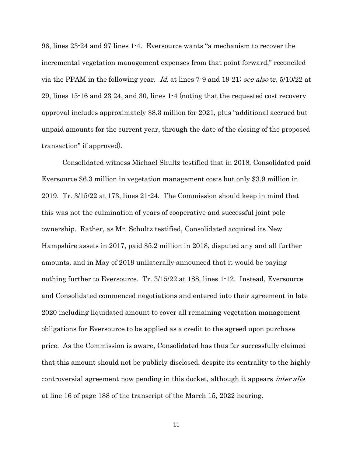96, lines 23-24 and 97 lines 1-4. Eversource wants "a mechanism to recover the incremental vegetation management expenses from that point forward," reconciled via the PPAM in the following year. Id. at lines 7.9 and 19.21; see also tr. 5/10/22 at 29, lines 15-16 and 23 24, and 30, lines 1-4 (noting that the requested cost recovery approval includes approximately \$8.3 million for 2021, plus "additional accrued but unpaid amounts for the current year, through the date of the closing of the proposed transaction" if approved).

Consolidated witness Michael Shultz testified that in 2018, Consolidated paid Eversource \$6.3 million in vegetation management costs but only \$3.9 million in 2019. Tr. 3/15/22 at 173, lines 21-24. The Commission should keep in mind that this was not the culmination of years of cooperative and successful joint pole ownership. Rather, as Mr. Schultz testified, Consolidated acquired its New Hampshire assets in 2017, paid \$5.2 million in 2018, disputed any and all further amounts, and in May of 2019 unilaterally announced that it would be paying nothing further to Eversource. Tr. 3/15/22 at 188, lines 1-12. Instead, Eversource and Consolidated commenced negotiations and entered into their agreement in late 2020 including liquidated amount to cover all remaining vegetation management obligations for Eversource to be applied as a credit to the agreed upon purchase price. As the Commission is aware, Consolidated has thus far successfully claimed that this amount should not be publicly disclosed, despite its centrality to the highly controversial agreement now pending in this docket, although it appears inter alia at line 16 of page 188 of the transcript of the March 15, 2022 hearing.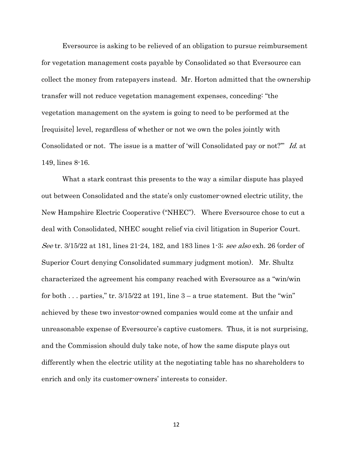Eversource is asking to be relieved of an obligation to pursue reimbursement for vegetation management costs payable by Consolidated so that Eversource can collect the money from ratepayers instead. Mr. Horton admitted that the ownership transfer will not reduce vegetation management expenses, conceding: "the vegetation management on the system is going to need to be performed at the [requisite] level, regardless of whether or not we own the poles jointly with Consolidated or not. The issue is a matter of 'will Consolidated pay or not?'" Id. at 149, lines 8-16.

What a stark contrast this presents to the way a similar dispute has played out between Consolidated and the state's only customer-owned electric utility, the New Hampshire Electric Cooperative ("NHEC"). Where Eversource chose to cut a deal with Consolidated, NHEC sought relief via civil litigation in Superior Court. See tr. 3/15/22 at 181, lines 21-24, 182, and 183 lines 1-3; see also exh. 26 (order of Superior Court denying Consolidated summary judgment motion). Mr. Shultz characterized the agreement his company reached with Eversource as a "win/win for both . . . parties," tr.  $3/15/22$  at 191, line  $3 - a$  true statement. But the "win" achieved by these two investor-owned companies would come at the unfair and unreasonable expense of Eversource's captive customers. Thus, it is not surprising, and the Commission should duly take note, of how the same dispute plays out differently when the electric utility at the negotiating table has no shareholders to enrich and only its customer-owners' interests to consider.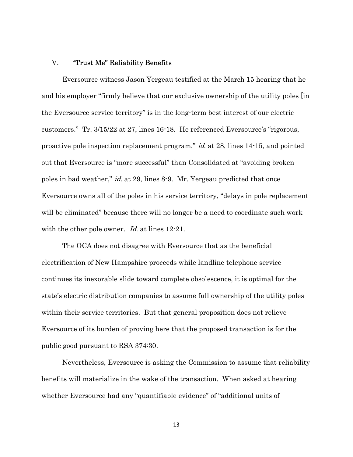## V. **Trust Me" Reliability Benefits**

Eversource witness Jason Yergeau testified at the March 15 hearing that he and his employer "firmly believe that our exclusive ownership of the utility poles [in the Eversource service territory" is in the long-term best interest of our electric customers." Tr. 3/15/22 at 27, lines 16-18. He referenced Eversource's "rigorous, proactive pole inspection replacement program," id. at 28, lines 14-15, and pointed out that Eversource is "more successful" than Consolidated at "avoiding broken poles in bad weather," id. at 29, lines 8-9. Mr. Yergeau predicted that once Eversource owns all of the poles in his service territory, "delays in pole replacement will be eliminated" because there will no longer be a need to coordinate such work with the other pole owner. *Id.* at lines 12-21.

The OCA does not disagree with Eversource that as the beneficial electrification of New Hampshire proceeds while landline telephone service continues its inexorable slide toward complete obsolescence, it is optimal for the state's electric distribution companies to assume full ownership of the utility poles within their service territories. But that general proposition does not relieve Eversource of its burden of proving here that the proposed transaction is for the public good pursuant to RSA 374:30.

Nevertheless, Eversource is asking the Commission to assume that reliability benefits will materialize in the wake of the transaction. When asked at hearing whether Eversource had any "quantifiable evidence" of "additional units of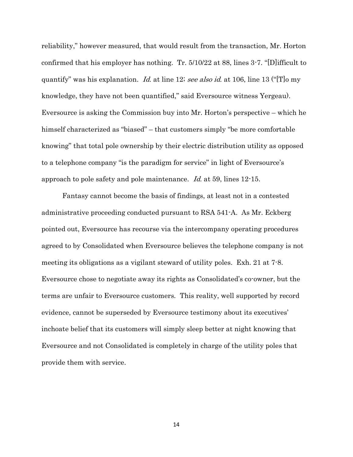reliability," however measured, that would result from the transaction, Mr. Horton confirmed that his employer has nothing. Tr. 5/10/22 at 88, lines 3-7. "[D]ifficult to quantify" was his explanation. Id. at line 12; see also id. at 106, line 13 ("[T]<sup>o</sup> my knowledge, they have not been quantified," said Eversource witness Yergeau). Eversource is asking the Commission buy into Mr. Horton's perspective – which he himself characterized as "biased" – that customers simply "be more comfortable knowing" that total pole ownership by their electric distribution utility as opposed to a telephone company "is the paradigm for service" in light of Eversource's approach to pole safety and pole maintenance. Id. at 59, lines 12-15.

Fantasy cannot become the basis of findings, at least not in a contested administrative proceeding conducted pursuant to RSA 541-A. As Mr. Eckberg pointed out, Eversource has recourse via the intercompany operating procedures agreed to by Consolidated when Eversource believes the telephone company is not meeting its obligations as a vigilant steward of utility poles. Exh. 21 at 7-8. Eversource chose to negotiate away its rights as Consolidated's co-owner, but the terms are unfair to Eversource customers. This reality, well supported by record evidence, cannot be superseded by Eversource testimony about its executives' inchoate belief that its customers will simply sleep better at night knowing that Eversource and not Consolidated is completely in charge of the utility poles that provide them with service.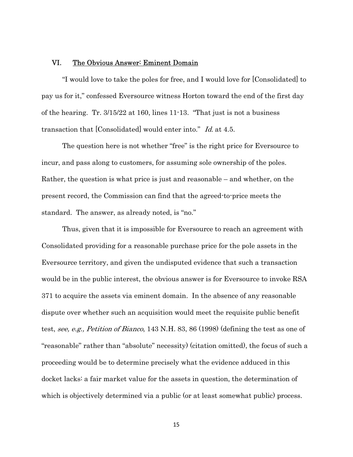## VI. The Obvious Answer: Eminent Domain

"I would love to take the poles for free, and I would love for [Consolidated] to pay us for it," confessed Eversource witness Horton toward the end of the first day of the hearing. Tr. 3/15/22 at 160, lines 11-13. "That just is not a business transaction that [Consolidated] would enter into." Id. at 4.5.

The question here is not whether "free" is the right price for Eversource to incur, and pass along to customers, for assuming sole ownership of the poles. Rather, the question is what price is just and reasonable – and whether, on the present record, the Commission can find that the agreed-to-price meets the standard. The answer, as already noted, is "no."

Thus, given that it is impossible for Eversource to reach an agreement with Consolidated providing for a reasonable purchase price for the pole assets in the Eversource territory, and given the undisputed evidence that such a transaction would be in the public interest, the obvious answer is for Eversource to invoke RSA 371 to acquire the assets via eminent domain. In the absence of any reasonable dispute over whether such an acquisition would meet the requisite public benefit test, see, e.g., Petition of Bianco, 143 N.H. 83, 86 (1998) (defining the test as one of "reasonable" rather than "absolute" necessity) (citation omitted), the focus of such a proceeding would be to determine precisely what the evidence adduced in this docket lacks: a fair market value for the assets in question, the determination of which is objectively determined via a public (or at least somewhat public) process.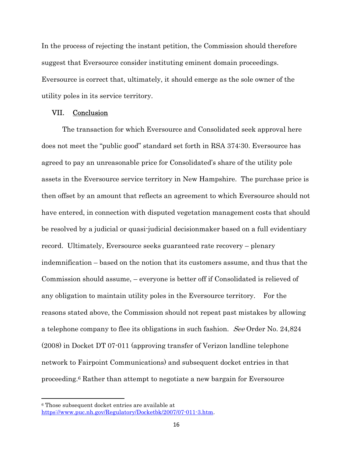In the process of rejecting the instant petition, the Commission should therefore suggest that Eversource consider instituting eminent domain proceedings. Eversource is correct that, ultimately, it should emerge as the sole owner of the utility poles in its service territory.

### VII. Conclusion

The transaction for which Eversource and Consolidated seek approval here does not meet the "public good" standard set forth in RSA 374:30. Eversource has agreed to pay an unreasonable price for Consolidated's share of the utility pole assets in the Eversource service territory in New Hampshire. The purchase price is then offset by an amount that reflects an agreement to which Eversource should not have entered, in connection with disputed vegetation management costs that should be resolved by a judicial or quasi-judicial decisionmaker based on a full evidentiary record. Ultimately, Eversource seeks guaranteed rate recovery – plenary indemnification – based on the notion that its customers assume, and thus that the Commission should assume, – everyone is better off if Consolidated is relieved of any obligation to maintain utility poles in the Eversource territory. For the reasons stated above, the Commission should not repeat past mistakes by allowing a telephone company to flee its obligations in such fashion. See Order No. 24,824 (2008) in Docket DT 07-011 (approving transfer of Verizon landline telephone network to Fairpoint Communications) and subsequent docket entries in that proceeding.6 Rather than attempt to negotiate a new bargain for Eversource

<sup>6</sup> Those subsequent docket entries are available at https://www.puc.nh.gov/Regulatory/Docketbk/2007/07-011-3.htm.